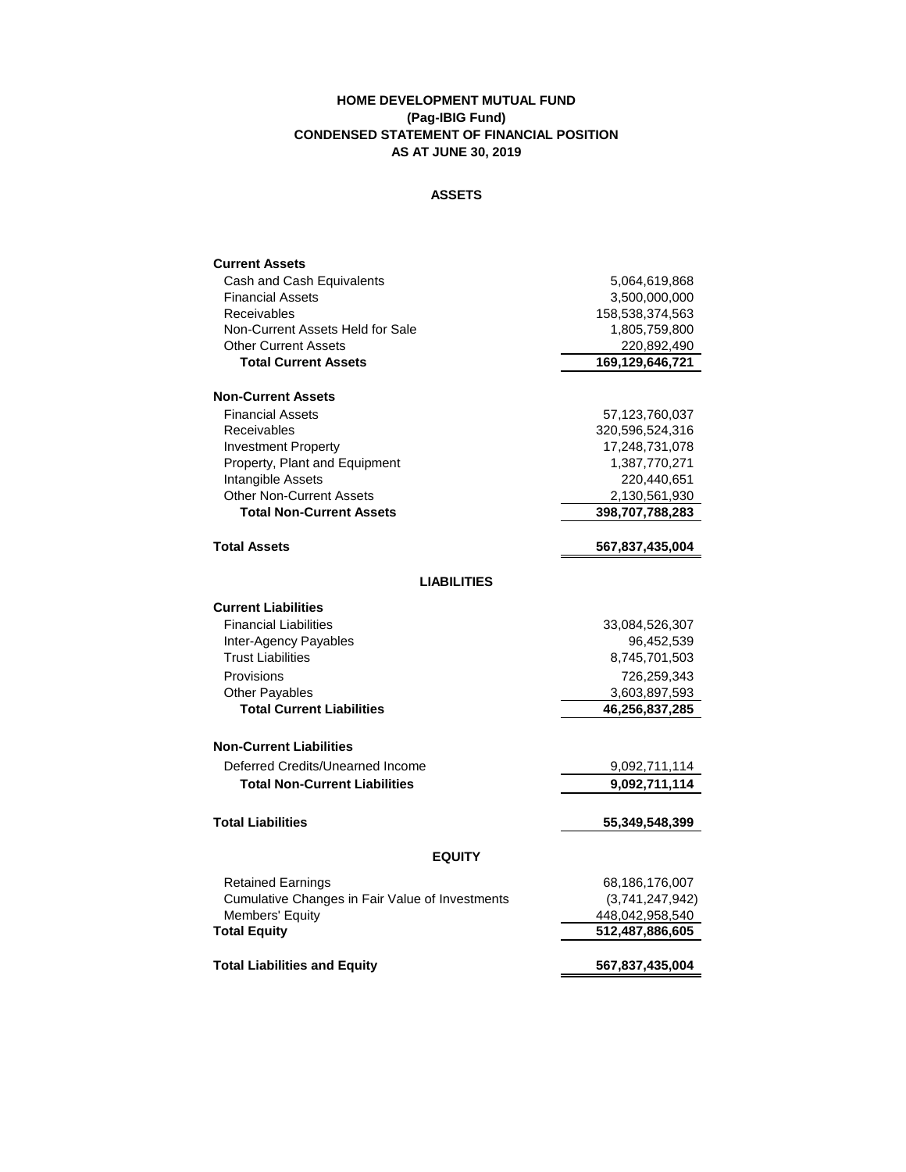## **HOME DEVELOPMENT MUTUAL FUND (Pag-IBIG Fund) CONDENSED STATEMENT OF FINANCIAL POSITION AS AT JUNE 30, 2019**

## **ASSETS**

| <b>Current Assets</b>                                                       |                                    |  |
|-----------------------------------------------------------------------------|------------------------------------|--|
| Cash and Cash Equivalents                                                   | 5,064,619,868                      |  |
| <b>Financial Assets</b>                                                     | 3,500,000,000                      |  |
| Receivables                                                                 | 158,538,374,563                    |  |
| Non-Current Assets Held for Sale                                            | 1,805,759,800                      |  |
| <b>Other Current Assets</b>                                                 | 220,892,490                        |  |
| <b>Total Current Assets</b>                                                 | 169,129,646,721                    |  |
| <b>Non-Current Assets</b>                                                   |                                    |  |
| <b>Financial Assets</b>                                                     | 57,123,760,037                     |  |
| Receivables                                                                 | 320,596,524,316                    |  |
| <b>Investment Property</b>                                                  | 17,248,731,078                     |  |
| Property, Plant and Equipment                                               | 1,387,770,271                      |  |
| Intangible Assets                                                           | 220,440,651                        |  |
| <b>Other Non-Current Assets</b>                                             | 2,130,561,930                      |  |
| <b>Total Non-Current Assets</b>                                             | 398,707,788,283                    |  |
| <b>Total Assets</b>                                                         | 567,837,435,004                    |  |
| <b>LIABILITIES</b>                                                          |                                    |  |
| <b>Current Liabilities</b>                                                  |                                    |  |
| <b>Financial Liabilities</b>                                                | 33,084,526,307                     |  |
| Inter-Agency Payables                                                       | 96,452,539                         |  |
| <b>Trust Liabilities</b>                                                    | 8,745,701,503                      |  |
| Provisions                                                                  | 726.259.343                        |  |
| Other Payables                                                              | 3,603,897,593                      |  |
| <b>Total Current Liabilities</b>                                            | 46,256,837,285                     |  |
| <b>Non-Current Liabilities</b>                                              |                                    |  |
| Deferred Credits/Unearned Income                                            | 9,092,711,114                      |  |
| <b>Total Non-Current Liabilities</b>                                        | 9,092,711,114                      |  |
| <b>Total Liabilities</b>                                                    | 55,349,548,399                     |  |
| <b>EQUITY</b>                                                               |                                    |  |
|                                                                             |                                    |  |
| <b>Retained Earnings</b><br>Cumulative Changes in Fair Value of Investments | 68,186,176,007                     |  |
| <b>Members' Equity</b>                                                      | (3,741,247,942)<br>448,042,958,540 |  |
| <b>Total Equity</b>                                                         | 512,487,886,605                    |  |
|                                                                             |                                    |  |
| <b>Total Liabilities and Equity</b>                                         | 567,837,435,004                    |  |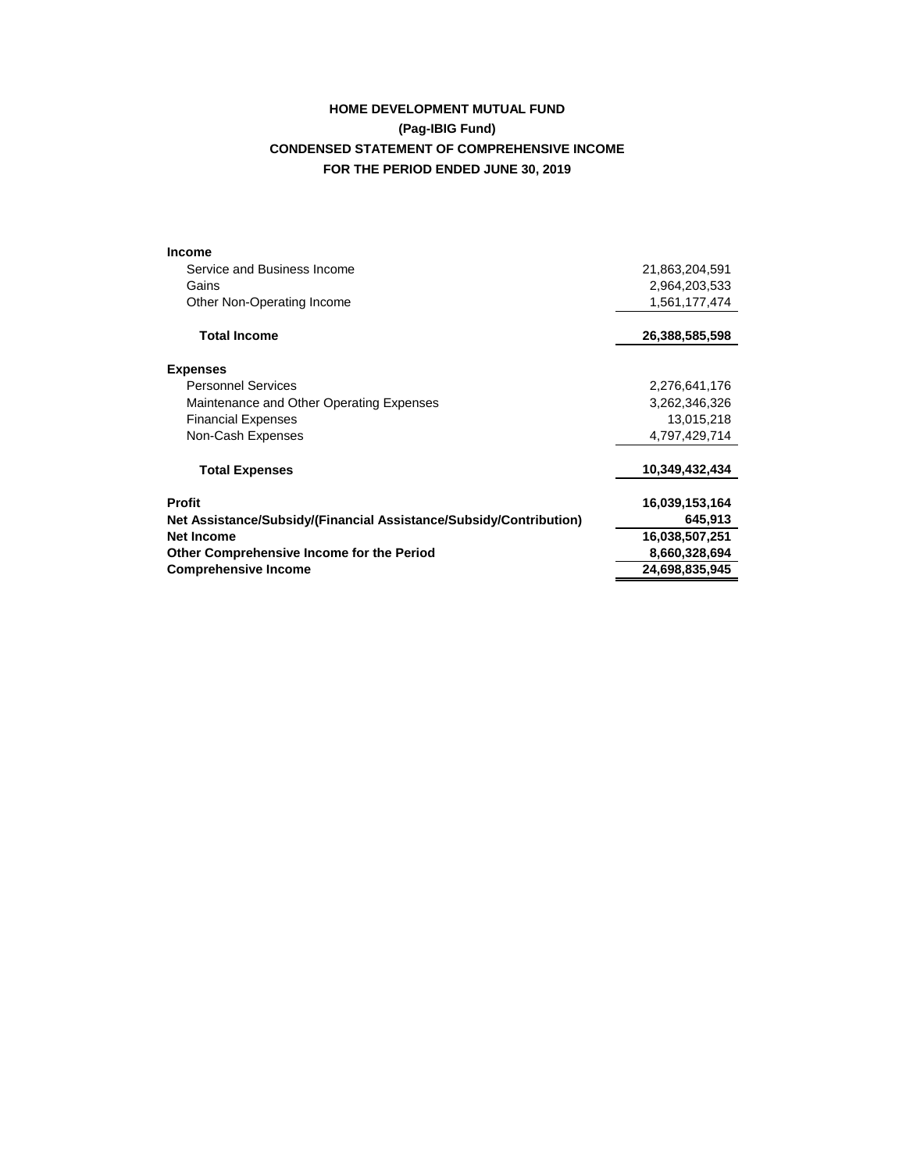# **HOME DEVELOPMENT MUTUAL FUND (Pag-IBIG Fund) CONDENSED STATEMENT OF COMPREHENSIVE INCOME FOR THE PERIOD ENDED JUNE 30, 2019**

| Service and Business Income<br>21,863,204,591<br>2,964,203,533<br>Gains<br>Other Non-Operating Income<br>1,561,177,474<br><b>Total Income</b><br>26,388,585,598<br><b>Expenses</b><br><b>Personnel Services</b><br>2,276,641,176<br>Maintenance and Other Operating Expenses<br>3,262,346,326<br><b>Financial Expenses</b><br>13,015,218<br>Non-Cash Expenses<br>4,797,429,714<br>10,349,432,434<br><b>Total Expenses</b><br><b>Profit</b><br>16,039,153,164<br>645,913<br>Net Assistance/Subsidy/(Financial Assistance/Subsidy/Contribution)<br><b>Net Income</b><br>16,038,507,251<br>Other Comprehensive Income for the Period<br>8,660,328,694<br>24,698,835,945<br><b>Comprehensive Income</b> | <b>Income</b> |  |
|-----------------------------------------------------------------------------------------------------------------------------------------------------------------------------------------------------------------------------------------------------------------------------------------------------------------------------------------------------------------------------------------------------------------------------------------------------------------------------------------------------------------------------------------------------------------------------------------------------------------------------------------------------------------------------------------------------|---------------|--|
|                                                                                                                                                                                                                                                                                                                                                                                                                                                                                                                                                                                                                                                                                                     |               |  |
|                                                                                                                                                                                                                                                                                                                                                                                                                                                                                                                                                                                                                                                                                                     |               |  |
|                                                                                                                                                                                                                                                                                                                                                                                                                                                                                                                                                                                                                                                                                                     |               |  |
|                                                                                                                                                                                                                                                                                                                                                                                                                                                                                                                                                                                                                                                                                                     |               |  |
|                                                                                                                                                                                                                                                                                                                                                                                                                                                                                                                                                                                                                                                                                                     |               |  |
|                                                                                                                                                                                                                                                                                                                                                                                                                                                                                                                                                                                                                                                                                                     |               |  |
|                                                                                                                                                                                                                                                                                                                                                                                                                                                                                                                                                                                                                                                                                                     |               |  |
|                                                                                                                                                                                                                                                                                                                                                                                                                                                                                                                                                                                                                                                                                                     |               |  |
|                                                                                                                                                                                                                                                                                                                                                                                                                                                                                                                                                                                                                                                                                                     |               |  |
|                                                                                                                                                                                                                                                                                                                                                                                                                                                                                                                                                                                                                                                                                                     |               |  |
|                                                                                                                                                                                                                                                                                                                                                                                                                                                                                                                                                                                                                                                                                                     |               |  |
|                                                                                                                                                                                                                                                                                                                                                                                                                                                                                                                                                                                                                                                                                                     |               |  |
|                                                                                                                                                                                                                                                                                                                                                                                                                                                                                                                                                                                                                                                                                                     |               |  |
|                                                                                                                                                                                                                                                                                                                                                                                                                                                                                                                                                                                                                                                                                                     |               |  |
|                                                                                                                                                                                                                                                                                                                                                                                                                                                                                                                                                                                                                                                                                                     |               |  |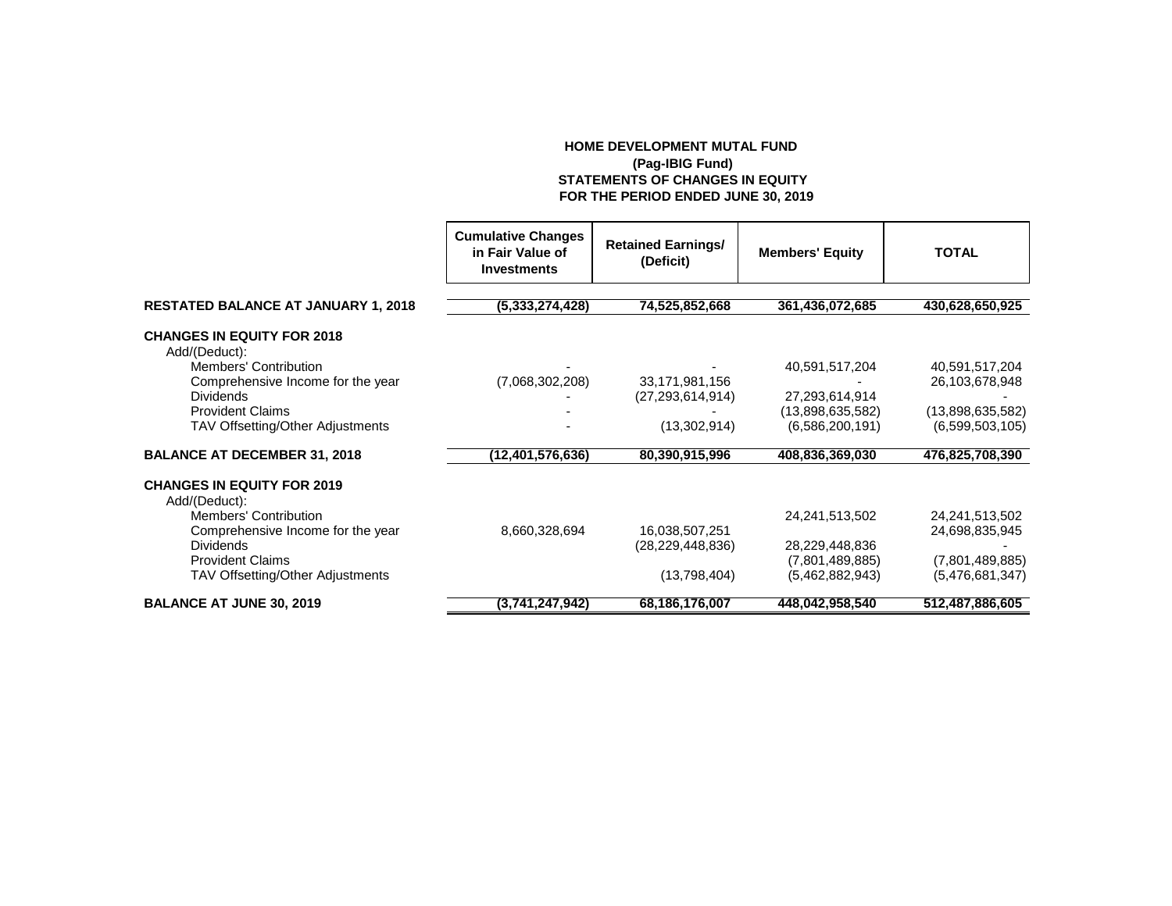## **HOME DEVELOPMENT MUTAL FUND (Pag-IBIG Fund) STATEMENTS OF CHANGES IN EQUITY FOR THE PERIOD ENDED JUNE 30, 2019**

|                                                    | <b>Cumulative Changes</b><br>in Fair Value of<br><b>Investments</b> | <b>Retained Earnings/</b><br>(Deficit) | <b>Members' Equity</b> | <b>TOTAL</b>     |
|----------------------------------------------------|---------------------------------------------------------------------|----------------------------------------|------------------------|------------------|
| <b>RESTATED BALANCE AT JANUARY 1, 2018</b>         | (5,333,274,428)                                                     | 74,525,852,668                         | 361,436,072,685        | 430,628,650,925  |
| <b>CHANGES IN EQUITY FOR 2018</b><br>Add/(Deduct): |                                                                     |                                        |                        |                  |
| <b>Members' Contribution</b>                       |                                                                     |                                        | 40,591,517,204         | 40,591,517,204   |
| Comprehensive Income for the year                  | (7,068,302,208)                                                     | 33,171,981,156                         |                        | 26,103,678,948   |
| <b>Dividends</b>                                   |                                                                     | (27, 293, 614, 914)                    | 27,293,614,914         |                  |
| <b>Provident Claims</b>                            |                                                                     |                                        | (13,898,635,582)       | (13,898,635,582) |
| TAV Offsetting/Other Adjustments                   |                                                                     | (13,302,914)                           | (6,586,200,191)        | (6,599,503,105)  |
| <b>BALANCE AT DECEMBER 31, 2018</b>                | (12,401,576,636)                                                    | 80,390,915,996                         | 408,836,369,030        | 476,825,708,390  |
| <b>CHANGES IN EQUITY FOR 2019</b><br>Add/(Deduct): |                                                                     |                                        |                        |                  |
| <b>Members' Contribution</b>                       |                                                                     |                                        | 24,241,513,502         | 24,241,513,502   |
| Comprehensive Income for the year                  | 8,660,328,694                                                       | 16,038,507,251                         |                        | 24,698,835,945   |
| <b>Dividends</b>                                   |                                                                     | (28, 229, 448, 836)                    | 28,229,448,836         |                  |
| <b>Provident Claims</b>                            |                                                                     |                                        | (7,801,489,885)        | (7,801,489,885)  |
| TAV Offsetting/Other Adjustments                   |                                                                     | (13,798,404)                           | (5,462,882,943)        | (5,476,681,347)  |
| <b>BALANCE AT JUNE 30, 2019</b>                    | (3,741,247,942)                                                     | 68,186,176,007                         | 448,042,958,540        | 512,487,886,605  |